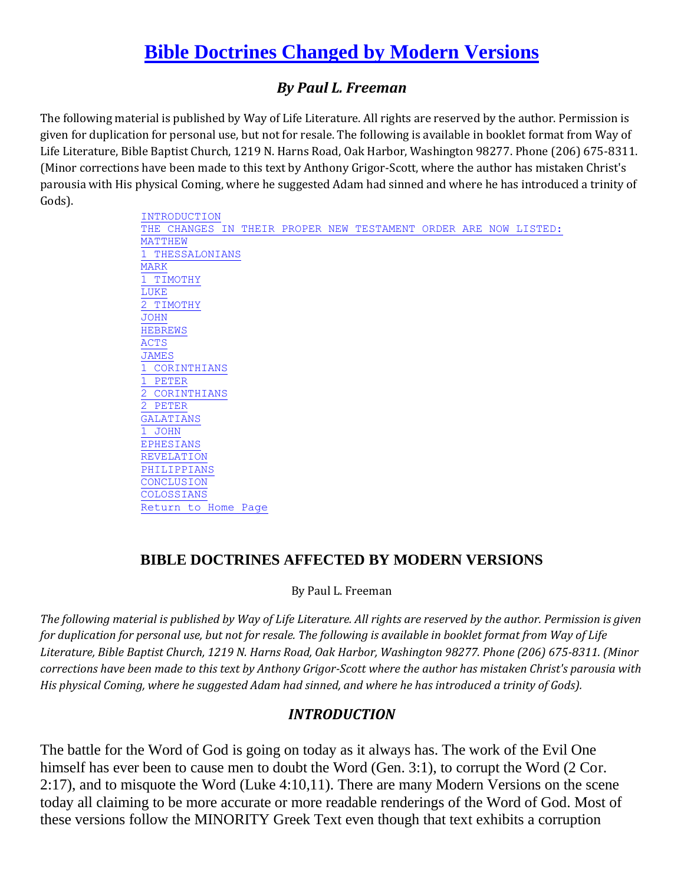# **[Bible Doctrines Changed by Modern Versions](http://www.biblebelievers.org.au/docchang.htm#Bible Doctrines Changed byModern Versions)**

## *By Paul L. Freeman*

The following material is published by Way of Life Literature. All rights are reserved by the author. Permission is given for duplication for personal use, but not for resale. The following is available in booklet format from Way of Life Literature, Bible Baptist Church, 1219 N. Harns Road, Oak Harbor, Washington 98277. Phone (206) 675-8311. (Minor corrections have been made to this text by Anthony Grigor-Scott, where the author has mistaken Christ's parousia with His physical Coming, where he suggested Adam had sinned and where he has introduced a trinity of Gods).

> [INTRODUCTION](http://www.biblebelievers.org.au/docchang.htm#INTRODUCTION) [THE CHANGES IN THEIR PROPER NEW TESTAMENT ORDER ARE NOW LISTED:](http://www.biblebelievers.org.au/docchang.htm#THE CHANGES IN THEIR PROPER NEW TESTAMENT               ORDER ARE NOW LISTED:) [MATTHEW](http://www.biblebelievers.org.au/docchang.htm#MATTHEW) [1 THESSALONIANS](http://www.biblebelievers.org.au/docchang.htm#1 THESSALONIANS) [MARK](http://www.biblebelievers.org.au/docchang.htm#MARK) [1 TIMOTHY](http://www.biblebelievers.org.au/docchang.htm#1 TIMOTHY) [LUKE](http://www.biblebelievers.org.au/docchang.htm#LUKE) [2 TIMOTHY](http://www.biblebelievers.org.au/docchang.htm#2 TIMOTHY) [JOHN](http://www.biblebelievers.org.au/docchang.htm#JOHN) [HEBREWS](http://www.biblebelievers.org.au/docchang.htm#HEBREWS) [ACTS](http://www.biblebelievers.org.au/docchang.htm#ACTS) **[JAMES](http://www.biblebelievers.org.au/docchang.htm#JAMES)**  [1 CORINTHIANS](http://www.biblebelievers.org.au/docchang.htm#1 CORINTHIANS) [1 PETER](http://www.biblebelievers.org.au/docchang.htm#1 PETER) [2 CORINTHIANS](http://www.biblebelievers.org.au/docchang.htm#2 CORINTHIANS) [2 PETER](http://www.biblebelievers.org.au/docchang.htm#2 PETER) [GALATIANS](http://www.biblebelievers.org.au/docchang.htm#GALATIANS) [1 JOHN](http://www.biblebelievers.org.au/docchang.htm#1 JOHN) [EPHESIANS](http://www.biblebelievers.org.au/docchang.htm#EPHESIANS) **[REVELATION](http://www.biblebelievers.org.au/docchang.htm#REVELATION)**  [PHILIPPIANS](http://www.biblebelievers.org.au/docchang.htm#PHILIPPIANS) **[CONCLUSION](http://www.biblebelievers.org.au/docchang.htm#CONCLUSION)** [COLOSSIANS](http://www.biblebelievers.org.au/docchang.htm#COLOSSIANS)

#### **BIBLE DOCTRINES AFFECTED BY MODERN VERSIONS**

[Return to Home Page](http://www.biblebelievers.org.au/index.htm)

#### By Paul L. Freeman

*The following material is published by Way of Life Literature. All rights are reserved by the author. Permission is given for duplication for personal use, but not for resale. The following is available in booklet format from Way of Life Literature, Bible Baptist Church, 1219 N. Harns Road, Oak Harbor, Washington 98277. Phone (206) 675-8311. (Minor corrections have been made to this text by Anthony Grigor-Scott where the author has mistaken Christ's parousia with His physical Coming, where he suggested Adam had sinned, and where he has introduced a trinity of Gods).*

#### *INTRODUCTION*

The battle for the Word of God is going on today as it always has. The work of the Evil One himself has ever been to cause men to doubt the Word (Gen. 3:1), to corrupt the Word (2 Cor. 2:17), and to misquote the Word (Luke 4:10,11). There are many Modern Versions on the scene today all claiming to be more accurate or more readable renderings of the Word of God. Most of these versions follow the MINORITY Greek Text even though that text exhibits a corruption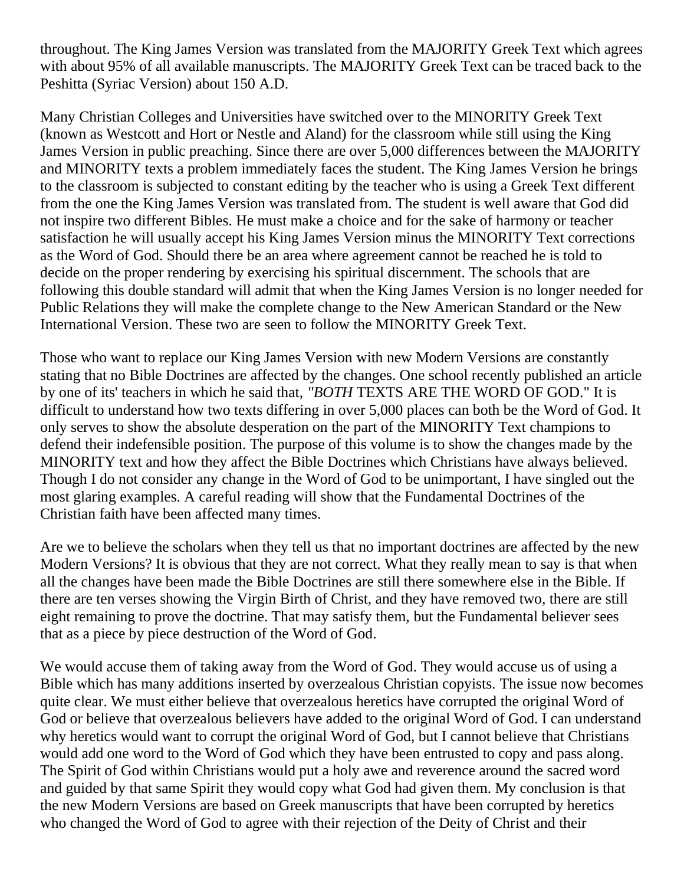throughout. The King James Version was translated from the MAJORITY Greek Text which agrees with about 95% of all available manuscripts. The MAJORITY Greek Text can be traced back to the Peshitta (Syriac Version) about 150 A.D.

Many Christian Colleges and Universities have switched over to the MINORITY Greek Text (known as Westcott and Hort or Nestle and Aland) for the classroom while still using the King James Version in public preaching. Since there are over 5,000 differences between the MAJORITY and MINORITY texts a problem immediately faces the student. The King James Version he brings to the classroom is subjected to constant editing by the teacher who is using a Greek Text different from the one the King James Version was translated from. The student is well aware that God did not inspire two different Bibles. He must make a choice and for the sake of harmony or teacher satisfaction he will usually accept his King James Version minus the MINORITY Text corrections as the Word of God. Should there be an area where agreement cannot be reached he is told to decide on the proper rendering by exercising his spiritual discernment. The schools that are following this double standard will admit that when the King James Version is no longer needed for Public Relations they will make the complete change to the New American Standard or the New International Version. These two are seen to follow the MINORITY Greek Text.

Those who want to replace our King James Version with new Modern Versions are constantly stating that no Bible Doctrines are affected by the changes. One school recently published an article by one of its' teachers in which he said that, *"BOTH* TEXTS ARE THE WORD OF GOD." It is difficult to understand how two texts differing in over 5,000 places can both be the Word of God. It only serves to show the absolute desperation on the part of the MINORITY Text champions to defend their indefensible position. The purpose of this volume is to show the changes made by the MINORITY text and how they affect the Bible Doctrines which Christians have always believed. Though I do not consider any change in the Word of God to be unimportant, I have singled out the most glaring examples. A careful reading will show that the Fundamental Doctrines of the Christian faith have been affected many times.

Are we to believe the scholars when they tell us that no important doctrines are affected by the new Modern Versions? It is obvious that they are not correct. What they really mean to say is that when all the changes have been made the Bible Doctrines are still there somewhere else in the Bible. If there are ten verses showing the Virgin Birth of Christ, and they have removed two, there are still eight remaining to prove the doctrine. That may satisfy them, but the Fundamental believer sees that as a piece by piece destruction of the Word of God.

We would accuse them of taking away from the Word of God. They would accuse us of using a Bible which has many additions inserted by overzealous Christian copyists. The issue now becomes quite clear. We must either believe that overzealous heretics have corrupted the original Word of God or believe that overzealous believers have added to the original Word of God. I can understand why heretics would want to corrupt the original Word of God, but I cannot believe that Christians would add one word to the Word of God which they have been entrusted to copy and pass along. The Spirit of God within Christians would put a holy awe and reverence around the sacred word and guided by that same Spirit they would copy what God had given them. My conclusion is that the new Modern Versions are based on Greek manuscripts that have been corrupted by heretics who changed the Word of God to agree with their rejection of the Deity of Christ and their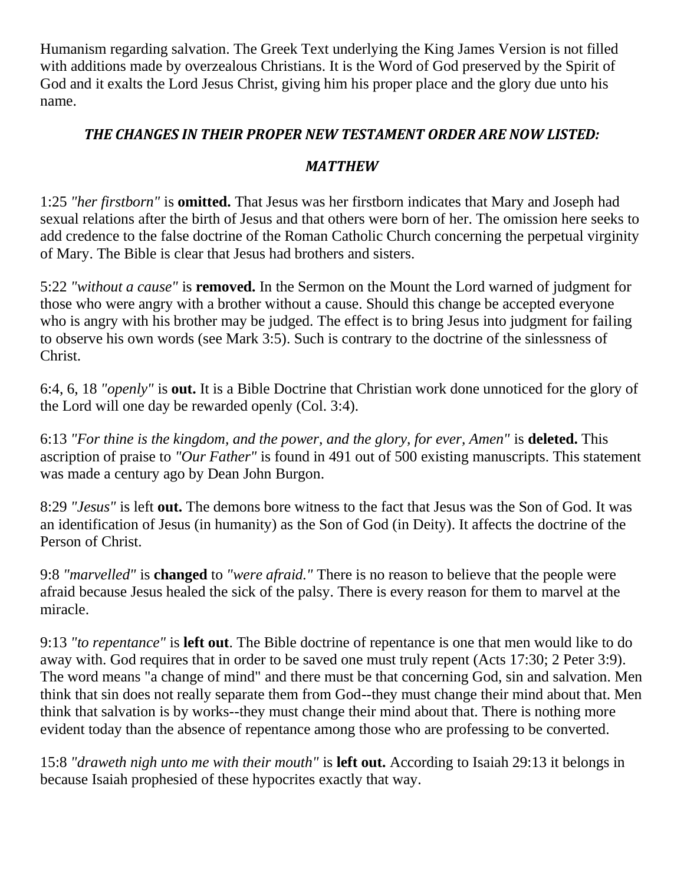Humanism regarding salvation. The Greek Text underlying the King James Version is not filled with additions made by overzealous Christians. It is the Word of God preserved by the Spirit of God and it exalts the Lord Jesus Christ, giving him his proper place and the glory due unto his name.

## *THE CHANGES IN THEIR PROPER NEW TESTAMENT ORDER ARE NOW LISTED:*

#### *MATTHEW*

1:25 *"her firstborn"* is **omitted.** That Jesus was her firstborn indicates that Mary and Joseph had sexual relations after the birth of Jesus and that others were born of her. The omission here seeks to add credence to the false doctrine of the Roman Catholic Church concerning the perpetual virginity of Mary. The Bible is clear that Jesus had brothers and sisters.

5:22 *"without a cause"* is **removed.** In the Sermon on the Mount the Lord warned of judgment for those who were angry with a brother without a cause. Should this change be accepted everyone who is angry with his brother may be judged. The effect is to bring Jesus into judgment for failing to observe his own words (see Mark 3:5). Such is contrary to the doctrine of the sinlessness of Christ.

6:4, 6, 18 *"openly"* is **out.** It is a Bible Doctrine that Christian work done unnoticed for the glory of the Lord will one day be rewarded openly (Col. 3:4).

6:13 *"For thine is the kingdom, and the power, and the glory, for ever, Amen"* is **deleted.** This ascription of praise to *"Our Father"* is found in 491 out of 500 existing manuscripts. This statement was made a century ago by Dean John Burgon.

8:29 *"Jesus"* is left **out.** The demons bore witness to the fact that Jesus was the Son of God. It was an identification of Jesus (in humanity) as the Son of God (in Deity). It affects the doctrine of the Person of Christ.

9:8 *"marvelled"* is **changed** to *"were afraid."* There is no reason to believe that the people were afraid because Jesus healed the sick of the palsy. There is every reason for them to marvel at the miracle.

9:13 *"to repentance"* is **left out**. The Bible doctrine of repentance is one that men would like to do away with. God requires that in order to be saved one must truly repent (Acts 17:30; 2 Peter 3:9). The word means "a change of mind" and there must be that concerning God, sin and salvation. Men think that sin does not really separate them from God--they must change their mind about that. Men think that salvation is by works--they must change their mind about that. There is nothing more evident today than the absence of repentance among those who are professing to be converted.

15:8 *"draweth nigh unto me with their mouth"* is **left out.** According to Isaiah 29:13 it belongs in because Isaiah prophesied of these hypocrites exactly that way.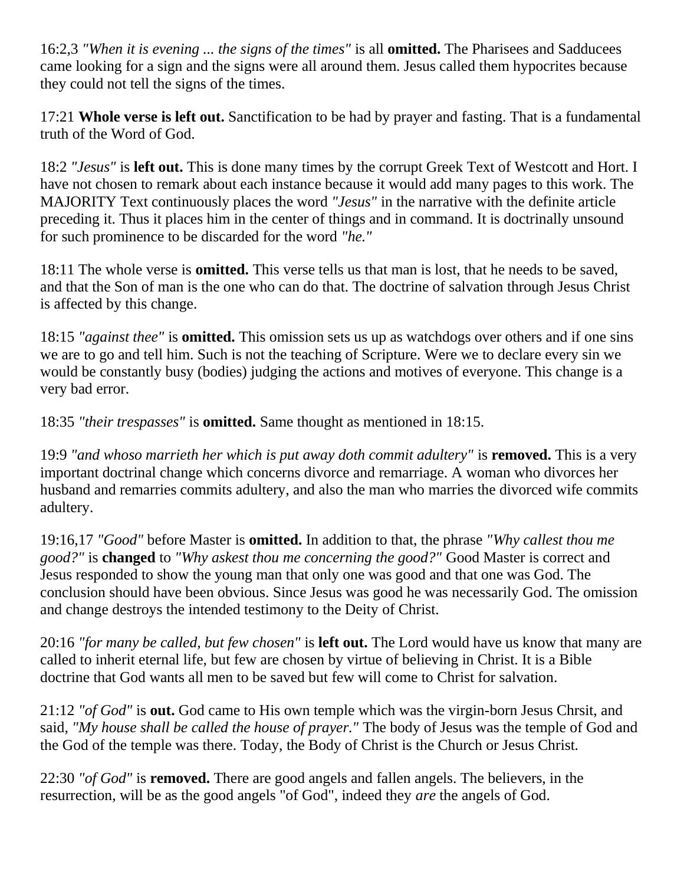16:2,3 *"When it is evening ... the signs of the times"* is all **omitted.** The Pharisees and Sadducees came looking for a sign and the signs were all around them. Jesus called them hypocrites because they could not tell the signs of the times.

17:21 **Whole verse is left out.** Sanctification to be had by prayer and fasting. That is a fundamental truth of the Word of God.

18:2 *"Jesus"* is **left out.** This is done many times by the corrupt Greek Text of Westcott and Hort. I have not chosen to remark about each instance because it would add many pages to this work. The MAJORITY Text continuously places the word *"Jesus"* in the narrative with the definite article preceding it. Thus it places him in the center of things and in command. It is doctrinally unsound for such prominence to be discarded for the word *"he."*

18:11 The whole verse is **omitted.** This verse tells us that man is lost, that he needs to be saved, and that the Son of man is the one who can do that. The doctrine of salvation through Jesus Christ is affected by this change.

18:15 *"against thee"* is **omitted.** This omission sets us up as watchdogs over others and if one sins we are to go and tell him. Such is not the teaching of Scripture. Were we to declare every sin we would be constantly busy (bodies) judging the actions and motives of everyone. This change is a very bad error.

18:35 *"their trespasses"* is **omitted.** Same thought as mentioned in 18:15.

19:9 *"and whoso marrieth her which is put away doth commit adultery"* is **removed.** This is a very important doctrinal change which concerns divorce and remarriage. A woman who divorces her husband and remarries commits adultery, and also the man who marries the divorced wife commits adultery.

19:16,17 *"Good"* before Master is **omitted.** In addition to that, the phrase *"Why callest thou me good?"* is **changed** to *"Why askest thou me concerning the good?"* Good Master is correct and Jesus responded to show the young man that only one was good and that one was God. The conclusion should have been obvious. Since Jesus was good he was necessarily God. The omission and change destroys the intended testimony to the Deity of Christ.

20:16 *"for many be called, but few chosen"* is **left out.** The Lord would have us know that many are called to inherit eternal life, but few are chosen by virtue of believing in Christ. It is a Bible doctrine that God wants all men to be saved but few will come to Christ for salvation.

21:12 *"of God"* is **out.** God came to His own temple which was the virgin-born Jesus Chrsit, and said, *"My house shall be called the house of prayer."* The body of Jesus was the temple of God and the God of the temple was there. Today, the Body of Christ is the Church or Jesus Christ.

22:30 *"of God"* is **removed.** There are good angels and fallen angels. The believers, in the resurrection, will be as the good angels "of God", indeed they *are* the angels of God.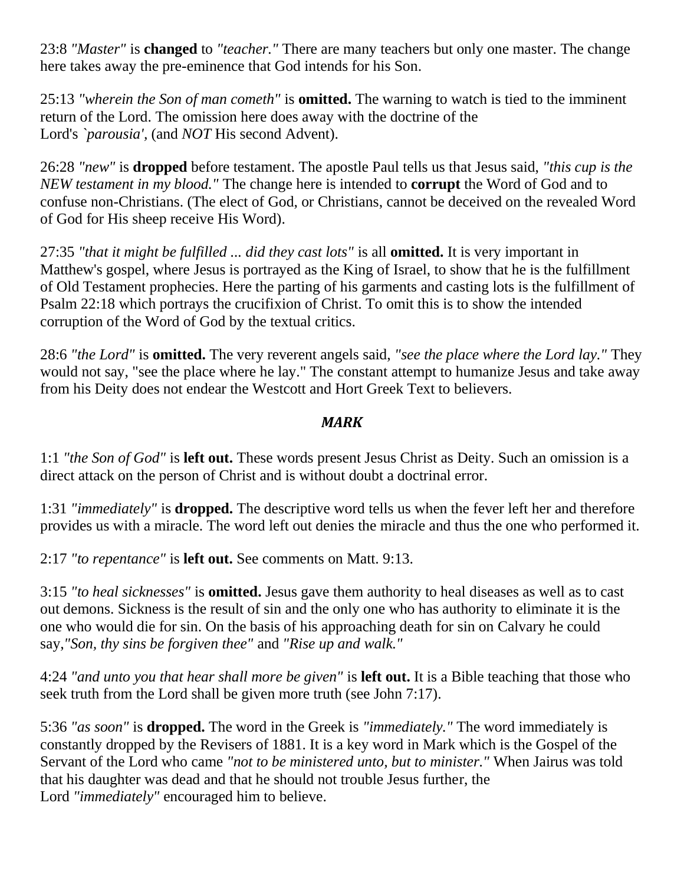23:8 *"Master"* is **changed** to *"teacher."* There are many teachers but only one master. The change here takes away the pre-eminence that God intends for his Son.

25:13 *"wherein the Son of man cometh"* is **omitted.** The warning to watch is tied to the imminent return of the Lord. The omission here does away with the doctrine of the Lord's *`parousia',* (and *NOT* His second Advent).

26:28 *"new"* is **dropped** before testament. The apostle Paul tells us that Jesus said, *"this cup is the NEW testament in my blood."* The change here is intended to **corrupt** the Word of God and to confuse non-Christians. (The elect of God, or Christians, cannot be deceived on the revealed Word of God for His sheep receive His Word).

27:35 *"that it might be fulfilled ... did they cast lots"* is all **omitted.** It is very important in Matthew's gospel, where Jesus is portrayed as the King of Israel, to show that he is the fulfillment of Old Testament prophecies. Here the parting of his garments and casting lots is the fulfillment of Psalm 22:18 which portrays the crucifixion of Christ. To omit this is to show the intended corruption of the Word of God by the textual critics.

28:6 *"the Lord"* is **omitted.** The very reverent angels said, *"see the place where the Lord lay."* They would not say, "see the place where he lay." The constant attempt to humanize Jesus and take away from his Deity does not endear the Westcott and Hort Greek Text to believers.

#### *MARK*

1:1 *"the Son of God"* is **left out.** These words present Jesus Christ as Deity. Such an omission is a direct attack on the person of Christ and is without doubt a doctrinal error.

1:31 *"immediately"* is **dropped.** The descriptive word tells us when the fever left her and therefore provides us with a miracle. The word left out denies the miracle and thus the one who performed it.

2:17 *"to repentance"* is **left out.** See comments on Matt. 9:13.

3:15 *"to heal sicknesses"* is **omitted.** Jesus gave them authority to heal diseases as well as to cast out demons. Sickness is the result of sin and the only one who has authority to eliminate it is the one who would die for sin. On the basis of his approaching death for sin on Calvary he could say,*"Son, thy sins be forgiven thee"* and *"Rise up and walk."*

4:24 *"and unto you that hear shall more be given"* is **left out.** It is a Bible teaching that those who seek truth from the Lord shall be given more truth (see John 7:17).

5:36 *"as soon"* is **dropped.** The word in the Greek is *"immediately."* The word immediately is constantly dropped by the Revisers of 1881. It is a key word in Mark which is the Gospel of the Servant of the Lord who came *"not to be ministered unto, but to minister."* When Jairus was told that his daughter was dead and that he should not trouble Jesus further, the Lord *"immediately"* encouraged him to believe.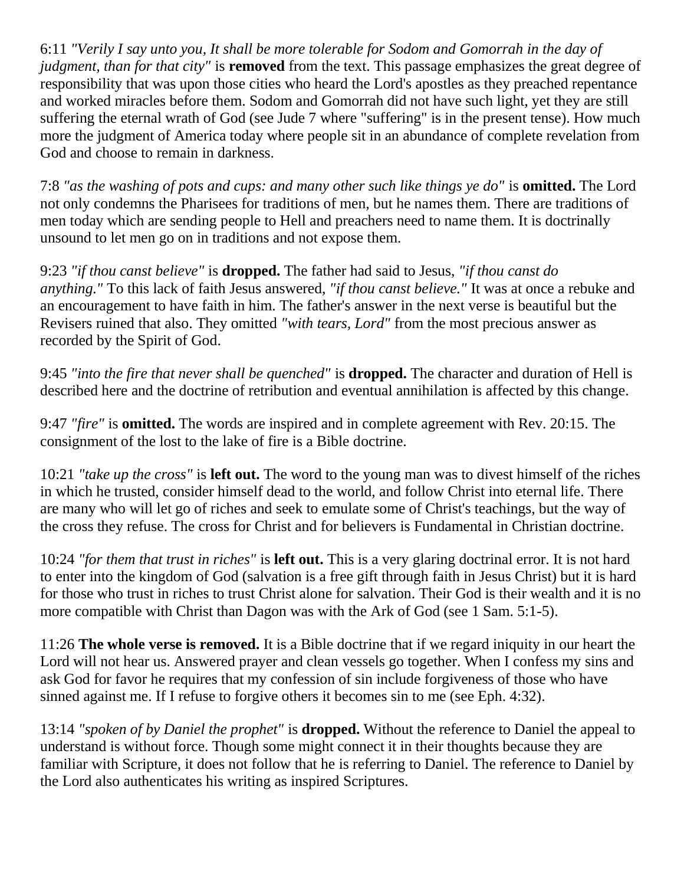6:11 *"Verily I say unto you, It shall be more tolerable for Sodom and Gomorrah in the day of judgment, than for that city"* is **removed** from the text. This passage emphasizes the great degree of responsibility that was upon those cities who heard the Lord's apostles as they preached repentance and worked miracles before them. Sodom and Gomorrah did not have such light, yet they are still suffering the eternal wrath of God (see Jude 7 where "suffering" is in the present tense). How much more the judgment of America today where people sit in an abundance of complete revelation from God and choose to remain in darkness.

7:8 *"as the washing of pots and cups: and many other such like things ye do"* is **omitted.** The Lord not only condemns the Pharisees for traditions of men, but he names them. There are traditions of men today which are sending people to Hell and preachers need to name them. It is doctrinally unsound to let men go on in traditions and not expose them.

9:23 *"if thou canst believe"* is **dropped.** The father had said to Jesus, *"if thou canst do anything."* To this lack of faith Jesus answered, *"if thou canst believe."* It was at once a rebuke and an encouragement to have faith in him. The father's answer in the next verse is beautiful but the Revisers ruined that also. They omitted *"with tears, Lord"* from the most precious answer as recorded by the Spirit of God.

9:45 *"into the fire that never shall be quenched"* is **dropped.** The character and duration of Hell is described here and the doctrine of retribution and eventual annihilation is affected by this change.

9:47 *"fire"* is **omitted.** The words are inspired and in complete agreement with Rev. 20:15. The consignment of the lost to the lake of fire is a Bible doctrine.

10:21 *"take up the cross"* is **left out.** The word to the young man was to divest himself of the riches in which he trusted, consider himself dead to the world, and follow Christ into eternal life. There are many who will let go of riches and seek to emulate some of Christ's teachings, but the way of the cross they refuse. The cross for Christ and for believers is Fundamental in Christian doctrine.

10:24 *"for them that trust in riches"* is **left out.** This is a very glaring doctrinal error. It is not hard to enter into the kingdom of God (salvation is a free gift through faith in Jesus Christ) but it is hard for those who trust in riches to trust Christ alone for salvation. Their God is their wealth and it is no more compatible with Christ than Dagon was with the Ark of God (see 1 Sam. 5:1-5).

11:26 **The whole verse is removed.** It is a Bible doctrine that if we regard iniquity in our heart the Lord will not hear us. Answered prayer and clean vessels go together. When I confess my sins and ask God for favor he requires that my confession of sin include forgiveness of those who have sinned against me. If I refuse to forgive others it becomes sin to me (see Eph. 4:32).

13:14 *"spoken of by Daniel the prophet"* is **dropped.** Without the reference to Daniel the appeal to understand is without force. Though some might connect it in their thoughts because they are familiar with Scripture, it does not follow that he is referring to Daniel. The reference to Daniel by the Lord also authenticates his writing as inspired Scriptures.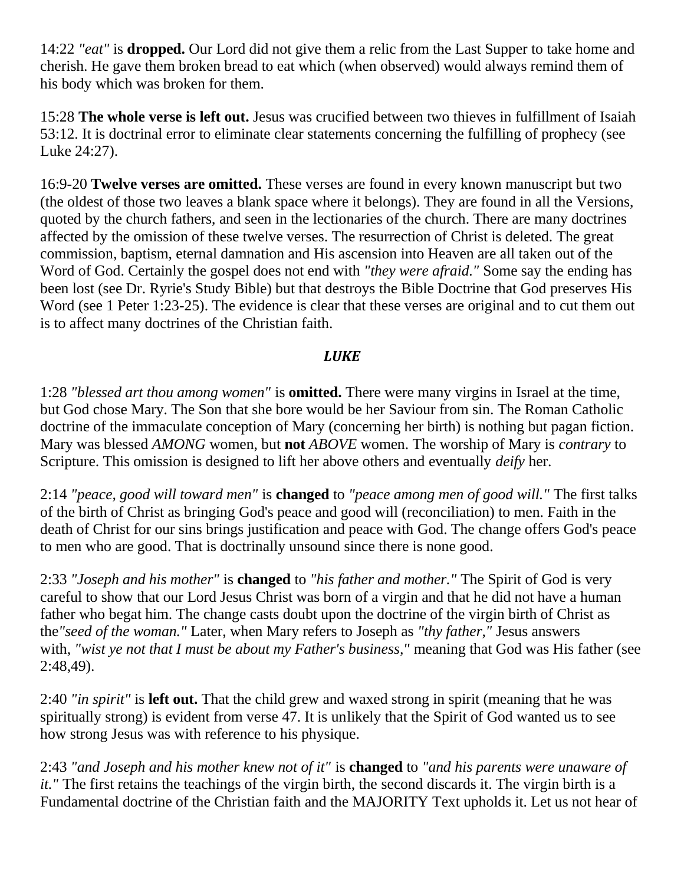14:22 *"eat"* is **dropped.** Our Lord did not give them a relic from the Last Supper to take home and cherish. He gave them broken bread to eat which (when observed) would always remind them of his body which was broken for them.

15:28 **The whole verse is left out.** Jesus was crucified between two thieves in fulfillment of Isaiah 53:12. It is doctrinal error to eliminate clear statements concerning the fulfilling of prophecy (see Luke 24:27).

16:9-20 **Twelve verses are omitted.** These verses are found in every known manuscript but two (the oldest of those two leaves a blank space where it belongs). They are found in all the Versions, quoted by the church fathers, and seen in the lectionaries of the church. There are many doctrines affected by the omission of these twelve verses. The resurrection of Christ is deleted. The great commission, baptism, eternal damnation and His ascension into Heaven are all taken out of the Word of God. Certainly the gospel does not end with *"they were afraid."* Some say the ending has been lost (see Dr. Ryrie's Study Bible) but that destroys the Bible Doctrine that God preserves His Word (see 1 Peter 1:23-25). The evidence is clear that these verses are original and to cut them out is to affect many doctrines of the Christian faith.

### *LUKE*

1:28 *"blessed art thou among women"* is **omitted.** There were many virgins in Israel at the time, but God chose Mary. The Son that she bore would be her Saviour from sin. The Roman Catholic doctrine of the immaculate conception of Mary (concerning her birth) is nothing but pagan fiction. Mary was blessed *AMONG* women, but **not** *ABOVE* women. The worship of Mary is *contrary* to Scripture. This omission is designed to lift her above others and eventually *deify* her.

2:14 *"peace, good will toward men"* is **changed** to *"peace among men of good will."* The first talks of the birth of Christ as bringing God's peace and good will (reconciliation) to men. Faith in the death of Christ for our sins brings justification and peace with God. The change offers God's peace to men who are good. That is doctrinally unsound since there is none good.

2:33 *"Joseph and his mother"* is **changed** to *"his father and mother."* The Spirit of God is very careful to show that our Lord Jesus Christ was born of a virgin and that he did not have a human father who begat him. The change casts doubt upon the doctrine of the virgin birth of Christ as the*"seed of the woman."* Later, when Mary refers to Joseph as *"thy father,"* Jesus answers with, *"wist ye not that I must be about my Father's business,"* meaning that God was His father (see 2:48,49).

2:40 *"in spirit"* is **left out.** That the child grew and waxed strong in spirit (meaning that he was spiritually strong) is evident from verse 47. It is unlikely that the Spirit of God wanted us to see how strong Jesus was with reference to his physique.

2:43 *"and Joseph and his mother knew not of it"* is **changed** to *"and his parents were unaware of it.*" The first retains the teachings of the virgin birth, the second discards it. The virgin birth is a Fundamental doctrine of the Christian faith and the MAJORITY Text upholds it. Let us not hear of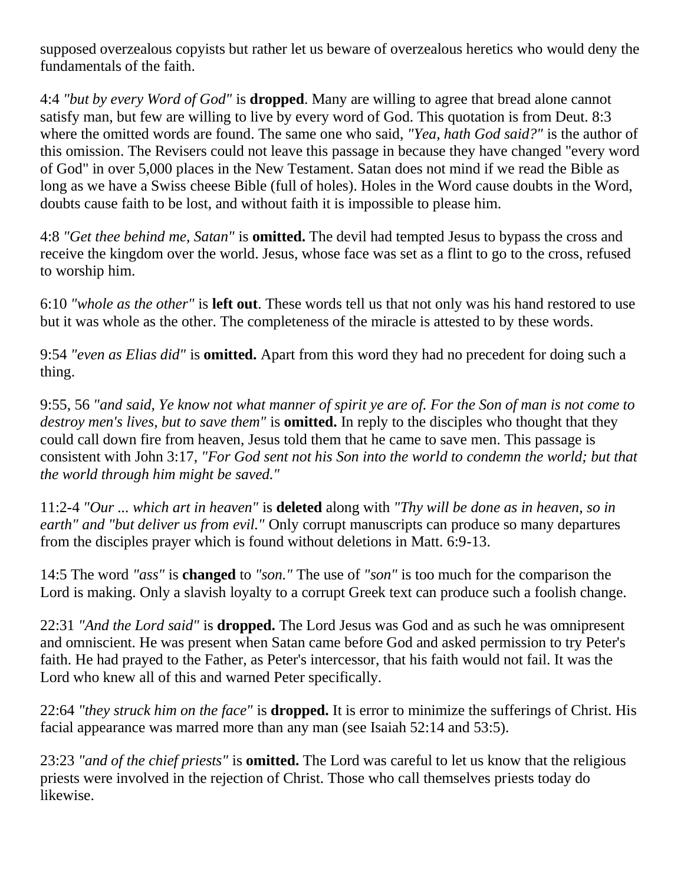supposed overzealous copyists but rather let us beware of overzealous heretics who would deny the fundamentals of the faith.

4:4 *"but by every Word of God"* is **dropped**. Many are willing to agree that bread alone cannot satisfy man, but few are willing to live by every word of God. This quotation is from Deut. 8:3 where the omitted words are found. The same one who said, *"Yea, hath God said?"* is the author of this omission. The Revisers could not leave this passage in because they have changed "every word of God" in over 5,000 places in the New Testament. Satan does not mind if we read the Bible as long as we have a Swiss cheese Bible (full of holes). Holes in the Word cause doubts in the Word, doubts cause faith to be lost, and without faith it is impossible to please him.

4:8 *"Get thee behind me, Satan"* is **omitted.** The devil had tempted Jesus to bypass the cross and receive the kingdom over the world. Jesus, whose face was set as a flint to go to the cross, refused to worship him.

6:10 *"whole as the other"* is **left out**. These words tell us that not only was his hand restored to use but it was whole as the other. The completeness of the miracle is attested to by these words.

9:54 *"even as Elias did"* is **omitted.** Apart from this word they had no precedent for doing such a thing.

9:55, 56 *"and said, Ye know not what manner of spirit ye are of. For the Son of man is not come to destroy men's lives, but to save them"* is **omitted.** In reply to the disciples who thought that they could call down fire from heaven, Jesus told them that he came to save men. This passage is consistent with John 3:17, *"For God sent not his Son into the world to condemn the world; but that the world through him might be saved."*

11:2-4 *"Our ... which art in heaven"* is **deleted** along with *"Thy will be done as in heaven, so in earth" and "but deliver us from evil."* Only corrupt manuscripts can produce so many departures from the disciples prayer which is found without deletions in Matt. 6:9-13.

14:5 The word *"ass"* is **changed** to *"son."* The use of *"son"* is too much for the comparison the Lord is making. Only a slavish loyalty to a corrupt Greek text can produce such a foolish change.

22:31 *"And the Lord said"* is **dropped.** The Lord Jesus was God and as such he was omnipresent and omniscient. He was present when Satan came before God and asked permission to try Peter's faith. He had prayed to the Father, as Peter's intercessor, that his faith would not fail. It was the Lord who knew all of this and warned Peter specifically.

22:64 *"they struck him on the face"* is **dropped.** It is error to minimize the sufferings of Christ. His facial appearance was marred more than any man (see Isaiah 52:14 and 53:5).

23:23 *"and of the chief priests"* is **omitted.** The Lord was careful to let us know that the religious priests were involved in the rejection of Christ. Those who call themselves priests today do likewise.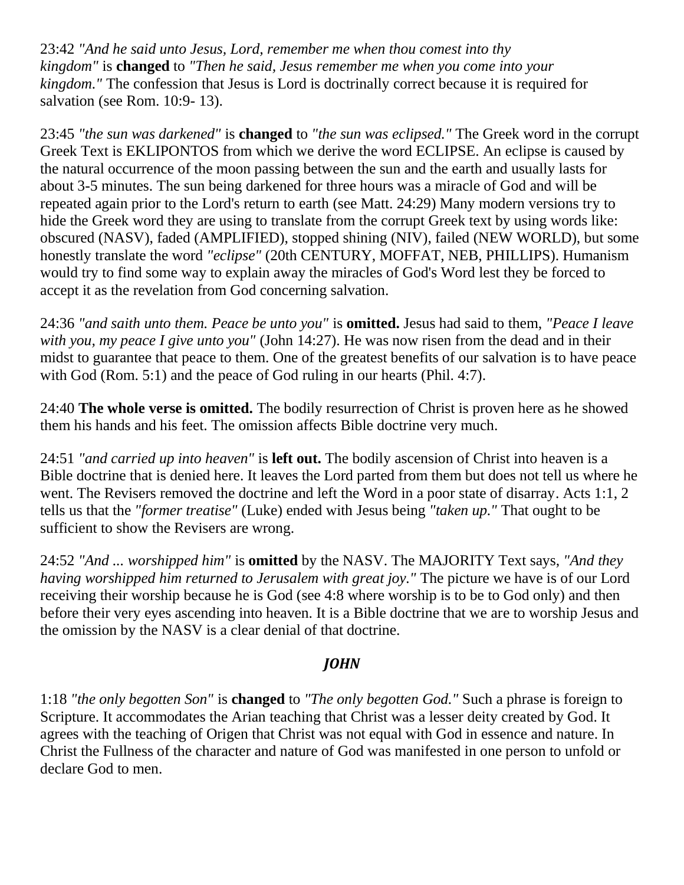23:42 *"And he said unto Jesus, Lord, remember me when thou comest into thy kingdom"* is **changed** to *"Then he said, Jesus remember me when you come into your kingdom."* The confession that Jesus is Lord is doctrinally correct because it is required for salvation (see Rom. 10:9- 13).

23:45 *"the sun was darkened"* is **changed** to *"the sun was eclipsed."* The Greek word in the corrupt Greek Text is EKLIPONTOS from which we derive the word ECLIPSE. An eclipse is caused by the natural occurrence of the moon passing between the sun and the earth and usually lasts for about 3-5 minutes. The sun being darkened for three hours was a miracle of God and will be repeated again prior to the Lord's return to earth (see Matt. 24:29) Many modern versions try to hide the Greek word they are using to translate from the corrupt Greek text by using words like: obscured (NASV), faded (AMPLIFIED), stopped shining (NIV), failed (NEW WORLD), but some honestly translate the word *"eclipse"* (20th CENTURY, MOFFAT, NEB, PHILLIPS). Humanism would try to find some way to explain away the miracles of God's Word lest they be forced to accept it as the revelation from God concerning salvation.

24:36 *"and saith unto them. Peace be unto you"* is **omitted.** Jesus had said to them, *"Peace I leave with you, my peace I give unto you"* (John 14:27). He was now risen from the dead and in their midst to guarantee that peace to them. One of the greatest benefits of our salvation is to have peace with God (Rom. 5:1) and the peace of God ruling in our hearts (Phil. 4:7).

24:40 **The whole verse is omitted.** The bodily resurrection of Christ is proven here as he showed them his hands and his feet. The omission affects Bible doctrine very much.

24:51 *"and carried up into heaven"* is **left out.** The bodily ascension of Christ into heaven is a Bible doctrine that is denied here. It leaves the Lord parted from them but does not tell us where he went. The Revisers removed the doctrine and left the Word in a poor state of disarray. Acts 1:1, 2 tells us that the *"former treatise"* (Luke) ended with Jesus being *"taken up."* That ought to be sufficient to show the Revisers are wrong.

24:52 *"And ... worshipped him"* is **omitted** by the NASV. The MAJORITY Text says, *"And they having worshipped him returned to Jerusalem with great joy."* The picture we have is of our Lord receiving their worship because he is God (see 4:8 where worship is to be to God only) and then before their very eyes ascending into heaven. It is a Bible doctrine that we are to worship Jesus and the omission by the NASV is a clear denial of that doctrine.

### *JOHN*

1:18 *"the only begotten Son"* is **changed** to *"The only begotten God."* Such a phrase is foreign to Scripture. It accommodates the Arian teaching that Christ was a lesser deity created by God. It agrees with the teaching of Origen that Christ was not equal with God in essence and nature. In Christ the Fullness of the character and nature of God was manifested in one person to unfold or declare God to men.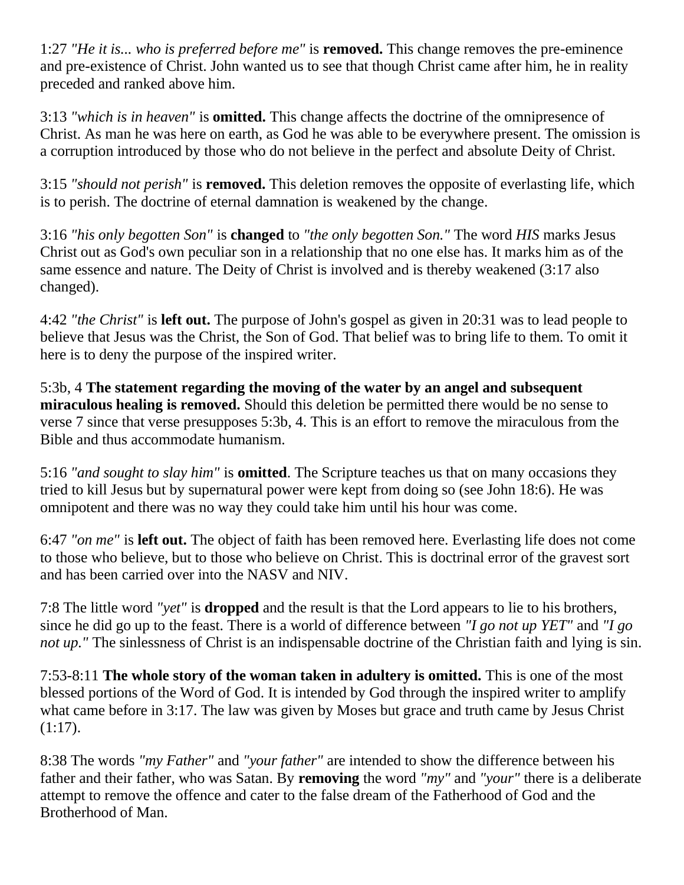1:27 *"He it is... who is preferred before me"* is **removed.** This change removes the pre-eminence and pre-existence of Christ. John wanted us to see that though Christ came after him, he in reality preceded and ranked above him.

3:13 *"which is in heaven"* is **omitted.** This change affects the doctrine of the omnipresence of Christ. As man he was here on earth, as God he was able to be everywhere present. The omission is a corruption introduced by those who do not believe in the perfect and absolute Deity of Christ.

3:15 *"should not perish"* is **removed.** This deletion removes the opposite of everlasting life, which is to perish. The doctrine of eternal damnation is weakened by the change.

3:16 *"his only begotten Son"* is **changed** to *"the only begotten Son."* The word *HIS* marks Jesus Christ out as God's own peculiar son in a relationship that no one else has. It marks him as of the same essence and nature. The Deity of Christ is involved and is thereby weakened (3:17 also changed).

4:42 *"the Christ"* is **left out.** The purpose of John's gospel as given in 20:31 was to lead people to believe that Jesus was the Christ, the Son of God. That belief was to bring life to them. To omit it here is to deny the purpose of the inspired writer.

5:3b, 4 **The statement regarding the moving of the water by an angel and subsequent miraculous healing is removed.** Should this deletion be permitted there would be no sense to verse 7 since that verse presupposes 5:3b, 4. This is an effort to remove the miraculous from the Bible and thus accommodate humanism.

5:16 *"and sought to slay him"* is **omitted**. The Scripture teaches us that on many occasions they tried to kill Jesus but by supernatural power were kept from doing so (see John 18:6). He was omnipotent and there was no way they could take him until his hour was come.

6:47 *"on me"* is **left out.** The object of faith has been removed here. Everlasting life does not come to those who believe, but to those who believe on Christ. This is doctrinal error of the gravest sort and has been carried over into the NASV and NIV.

7:8 The little word *"yet"* is **dropped** and the result is that the Lord appears to lie to his brothers, since he did go up to the feast. There is a world of difference between *"I go not up YET"* and *"I go not up.*" The sinlessness of Christ is an indispensable doctrine of the Christian faith and lying is sin.

7:53-8:11 **The whole story of the woman taken in adultery is omitted.** This is one of the most blessed portions of the Word of God. It is intended by God through the inspired writer to amplify what came before in 3:17. The law was given by Moses but grace and truth came by Jesus Christ (1:17).

8:38 The words *"my Father"* and *"your father"* are intended to show the difference between his father and their father, who was Satan. By **removing** the word *"my"* and *"your"* there is a deliberate attempt to remove the offence and cater to the false dream of the Fatherhood of God and the Brotherhood of Man.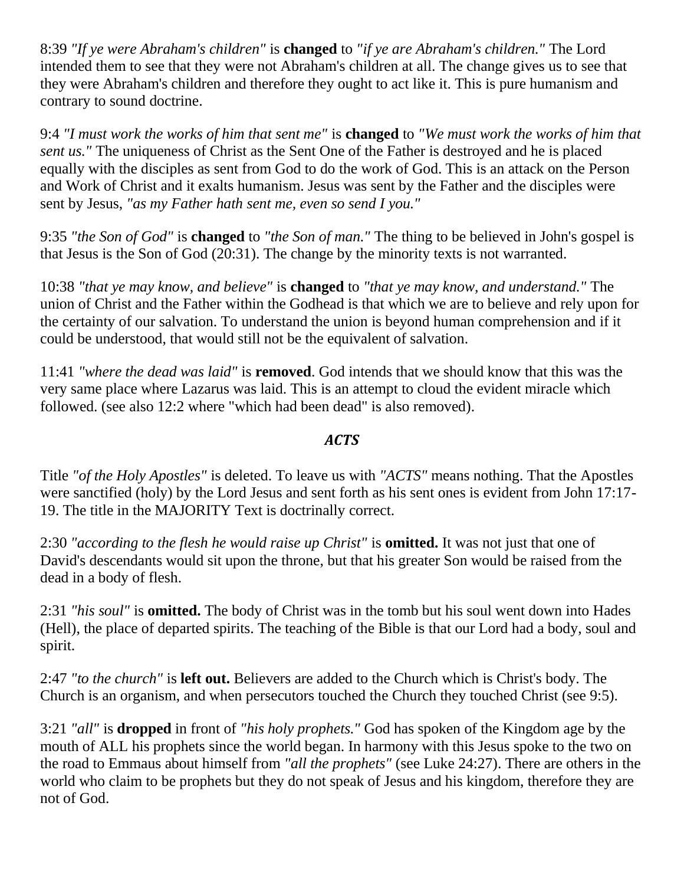8:39 *"If ye were Abraham's children"* is **changed** to *"if ye are Abraham's children."* The Lord intended them to see that they were not Abraham's children at all. The change gives us to see that they were Abraham's children and therefore they ought to act like it. This is pure humanism and contrary to sound doctrine.

9:4 *"I must work the works of him that sent me"* is **changed** to *"We must work the works of him that sent us.* " The uniqueness of Christ as the Sent One of the Father is destroyed and he is placed equally with the disciples as sent from God to do the work of God. This is an attack on the Person and Work of Christ and it exalts humanism. Jesus was sent by the Father and the disciples were sent by Jesus, *"as my Father hath sent me, even so send I you."*

9:35 *"the Son of God"* is **changed** to *"the Son of man."* The thing to be believed in John's gospel is that Jesus is the Son of God (20:31). The change by the minority texts is not warranted.

10:38 *"that ye may know, and believe"* is **changed** to *"that ye may know, and understand."* The union of Christ and the Father within the Godhead is that which we are to believe and rely upon for the certainty of our salvation. To understand the union is beyond human comprehension and if it could be understood, that would still not be the equivalent of salvation.

11:41 *"where the dead was laid"* is **removed**. God intends that we should know that this was the very same place where Lazarus was laid. This is an attempt to cloud the evident miracle which followed. (see also 12:2 where "which had been dead" is also removed).

#### *ACTS*

Title *"of the Holy Apostles"* is deleted. To leave us with *"ACTS"* means nothing. That the Apostles were sanctified (holy) by the Lord Jesus and sent forth as his sent ones is evident from John 17:17- 19. The title in the MAJORITY Text is doctrinally correct.

2:30 *"according to the flesh he would raise up Christ"* is **omitted.** It was not just that one of David's descendants would sit upon the throne, but that his greater Son would be raised from the dead in a body of flesh.

2:31 *"his soul"* is **omitted.** The body of Christ was in the tomb but his soul went down into Hades (Hell), the place of departed spirits. The teaching of the Bible is that our Lord had a body, soul and spirit.

2:47 *"to the church"* is **left out.** Believers are added to the Church which is Christ's body. The Church is an organism, and when persecutors touched the Church they touched Christ (see 9:5).

3:21 *"all"* is **dropped** in front of *"his holy prophets."* God has spoken of the Kingdom age by the mouth of ALL his prophets since the world began. In harmony with this Jesus spoke to the two on the road to Emmaus about himself from *"all the prophets"* (see Luke 24:27). There are others in the world who claim to be prophets but they do not speak of Jesus and his kingdom, therefore they are not of God.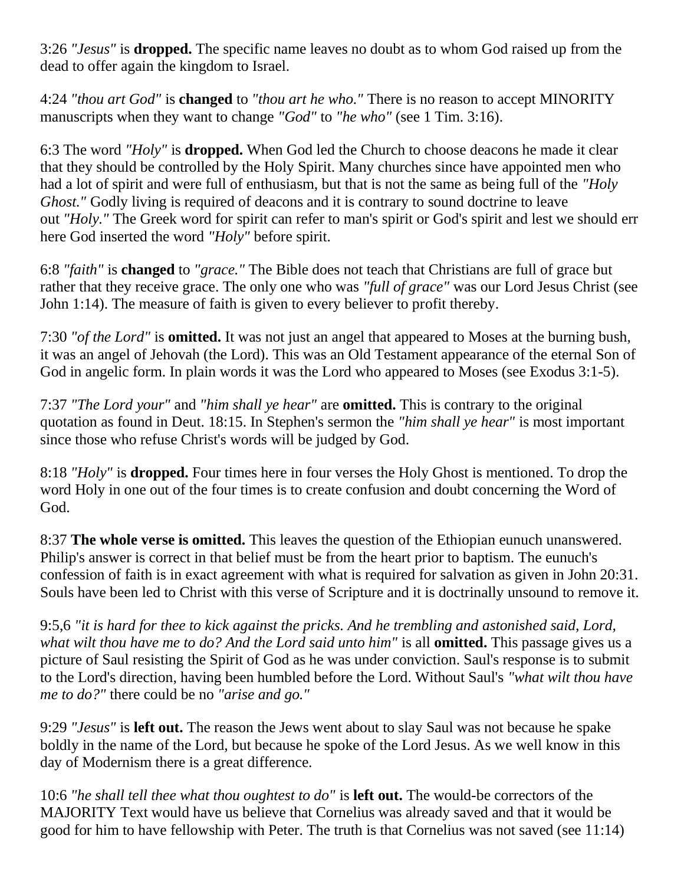3:26 *"Jesus"* is **dropped.** The specific name leaves no doubt as to whom God raised up from the dead to offer again the kingdom to Israel.

4:24 *"thou art God"* is **changed** to *"thou art he who."* There is no reason to accept MINORITY manuscripts when they want to change *"God"* to *"he who"* (see 1 Tim. 3:16).

6:3 The word *"Holy"* is **dropped.** When God led the Church to choose deacons he made it clear that they should be controlled by the Holy Spirit. Many churches since have appointed men who had a lot of spirit and were full of enthusiasm, but that is not the same as being full of the *"Holy Ghost."* Godly living is required of deacons and it is contrary to sound doctrine to leave out *"Holy."* The Greek word for spirit can refer to man's spirit or God's spirit and lest we should err here God inserted the word *"Holy"* before spirit.

6:8 *"faith"* is **changed** to *"grace."* The Bible does not teach that Christians are full of grace but rather that they receive grace. The only one who was *"full of grace"* was our Lord Jesus Christ (see John 1:14). The measure of faith is given to every believer to profit thereby.

7:30 *"of the Lord"* is **omitted.** It was not just an angel that appeared to Moses at the burning bush, it was an angel of Jehovah (the Lord). This was an Old Testament appearance of the eternal Son of God in angelic form. In plain words it was the Lord who appeared to Moses (see Exodus 3:1-5).

7:37 *"The Lord your"* and *"him shall ye hear"* are **omitted.** This is contrary to the original quotation as found in Deut. 18:15. In Stephen's sermon the *"him shall ye hear"* is most important since those who refuse Christ's words will be judged by God.

8:18 *"Holy"* is **dropped.** Four times here in four verses the Holy Ghost is mentioned. To drop the word Holy in one out of the four times is to create confusion and doubt concerning the Word of God.

8:37 **The whole verse is omitted.** This leaves the question of the Ethiopian eunuch unanswered. Philip's answer is correct in that belief must be from the heart prior to baptism. The eunuch's confession of faith is in exact agreement with what is required for salvation as given in John 20:31. Souls have been led to Christ with this verse of Scripture and it is doctrinally unsound to remove it.

9:5,6 *"it is hard for thee to kick against the pricks. And he trembling and astonished said, Lord, what wilt thou have me to do? And the Lord said unto him"* is all **omitted.** This passage gives us a picture of Saul resisting the Spirit of God as he was under conviction. Saul's response is to submit to the Lord's direction, having been humbled before the Lord. Without Saul's *"what wilt thou have me to do?"* there could be no *"arise and go."*

9:29 *"Jesus"* is **left out.** The reason the Jews went about to slay Saul was not because he spake boldly in the name of the Lord, but because he spoke of the Lord Jesus. As we well know in this day of Modernism there is a great difference.

10:6 *"he shall tell thee what thou oughtest to do"* is **left out.** The would-be correctors of the MAJORITY Text would have us believe that Cornelius was already saved and that it would be good for him to have fellowship with Peter. The truth is that Cornelius was not saved (see 11:14)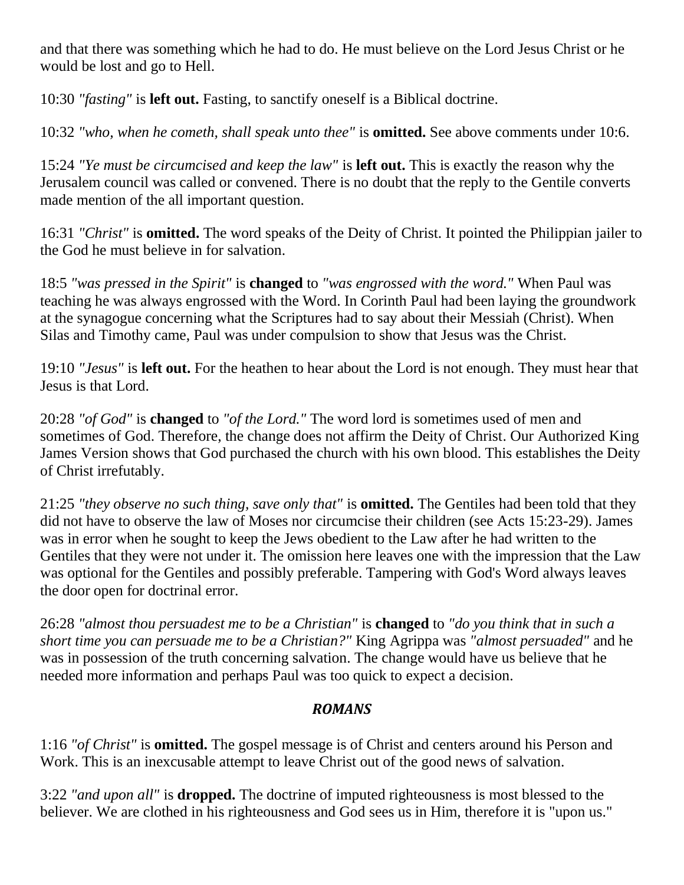and that there was something which he had to do. He must believe on the Lord Jesus Christ or he would be lost and go to Hell.

10:30 *"fasting"* is **left out.** Fasting, to sanctify oneself is a Biblical doctrine.

10:32 *"who, when he cometh, shall speak unto thee"* is **omitted.** See above comments under 10:6.

15:24 *"Ye must be circumcised and keep the law"* is **left out.** This is exactly the reason why the Jerusalem council was called or convened. There is no doubt that the reply to the Gentile converts made mention of the all important question.

16:31 *"Christ"* is **omitted.** The word speaks of the Deity of Christ. It pointed the Philippian jailer to the God he must believe in for salvation.

18:5 *"was pressed in the Spirit"* is **changed** to *"was engrossed with the word."* When Paul was teaching he was always engrossed with the Word. In Corinth Paul had been laying the groundwork at the synagogue concerning what the Scriptures had to say about their Messiah (Christ). When Silas and Timothy came, Paul was under compulsion to show that Jesus was the Christ.

19:10 *"Jesus"* is **left out.** For the heathen to hear about the Lord is not enough. They must hear that Jesus is that Lord.

20:28 *"of God"* is **changed** to *"of the Lord."* The word lord is sometimes used of men and sometimes of God. Therefore, the change does not affirm the Deity of Christ. Our Authorized King James Version shows that God purchased the church with his own blood. This establishes the Deity of Christ irrefutably.

21:25 *"they observe no such thing, save only that"* is **omitted.** The Gentiles had been told that they did not have to observe the law of Moses nor circumcise their children (see Acts 15:23-29). James was in error when he sought to keep the Jews obedient to the Law after he had written to the Gentiles that they were not under it. The omission here leaves one with the impression that the Law was optional for the Gentiles and possibly preferable. Tampering with God's Word always leaves the door open for doctrinal error.

26:28 *"almost thou persuadest me to be a Christian"* is **changed** to *"do you think that in such a short time you can persuade me to be a Christian?"* King Agrippa was *"almost persuaded"* and he was in possession of the truth concerning salvation. The change would have us believe that he needed more information and perhaps Paul was too quick to expect a decision.

### *ROMANS*

1:16 *"of Christ"* is **omitted.** The gospel message is of Christ and centers around his Person and Work. This is an inexcusable attempt to leave Christ out of the good news of salvation.

3:22 *"and upon all"* is **dropped.** The doctrine of imputed righteousness is most blessed to the believer. We are clothed in his righteousness and God sees us in Him, therefore it is "upon us."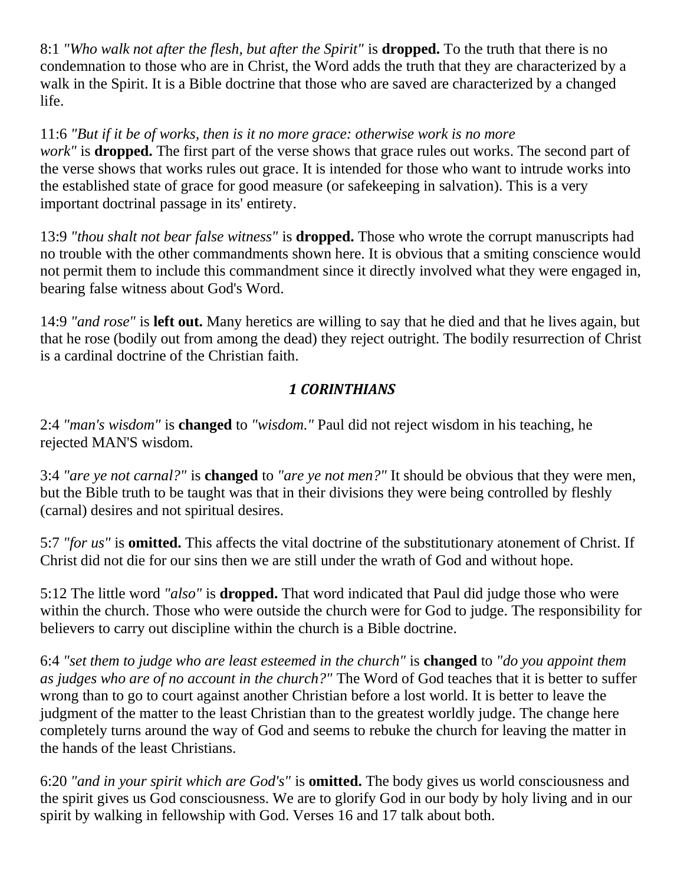8:1 *"Who walk not after the flesh, but after the Spirit"* is **dropped.** To the truth that there is no condemnation to those who are in Christ, the Word adds the truth that they are characterized by a walk in the Spirit. It is a Bible doctrine that those who are saved are characterized by a changed life.

11:6 *"But if it be of works, then is it no more grace: otherwise work is no more work"* is **dropped.** The first part of the verse shows that grace rules out works. The second part of the verse shows that works rules out grace. It is intended for those who want to intrude works into the established state of grace for good measure (or safekeeping in salvation). This is a very important doctrinal passage in its' entirety.

13:9 *"thou shalt not bear false witness"* is **dropped.** Those who wrote the corrupt manuscripts had no trouble with the other commandments shown here. It is obvious that a smiting conscience would not permit them to include this commandment since it directly involved what they were engaged in, bearing false witness about God's Word.

14:9 *"and rose"* is **left out.** Many heretics are willing to say that he died and that he lives again, but that he rose (bodily out from among the dead) they reject outright. The bodily resurrection of Christ is a cardinal doctrine of the Christian faith.

## *1 CORINTHIANS*

2:4 *"man's wisdom"* is **changed** to *"wisdom."* Paul did not reject wisdom in his teaching, he rejected MAN'S wisdom.

3:4 *"are ye not carnal?"* is **changed** to *"are ye not men?"* It should be obvious that they were men, but the Bible truth to be taught was that in their divisions they were being controlled by fleshly (carnal) desires and not spiritual desires.

5:7 *"for us"* is **omitted.** This affects the vital doctrine of the substitutionary atonement of Christ. If Christ did not die for our sins then we are still under the wrath of God and without hope.

5:12 The little word *"also"* is **dropped.** That word indicated that Paul did judge those who were within the church. Those who were outside the church were for God to judge. The responsibility for believers to carry out discipline within the church is a Bible doctrine.

6:4 *"set them to judge who are least esteemed in the church"* is **changed** to *"do you appoint them as judges who are of no account in the church?"* The Word of God teaches that it is better to suffer wrong than to go to court against another Christian before a lost world. It is better to leave the judgment of the matter to the least Christian than to the greatest worldly judge. The change here completely turns around the way of God and seems to rebuke the church for leaving the matter in the hands of the least Christians.

6:20 *"and in your spirit which are God's"* is **omitted.** The body gives us world consciousness and the spirit gives us God consciousness. We are to glorify God in our body by holy living and in our spirit by walking in fellowship with God. Verses 16 and 17 talk about both.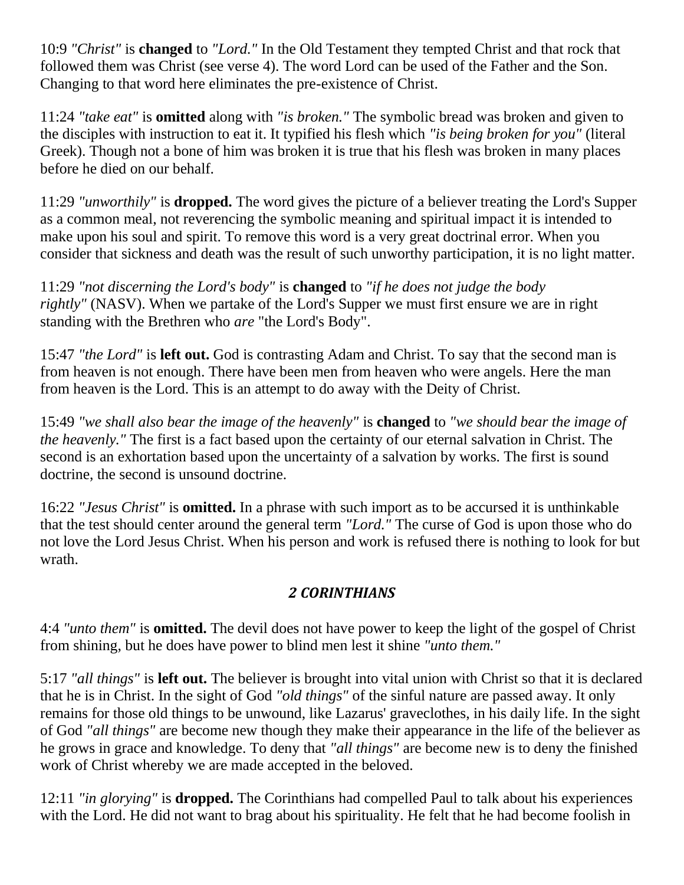10:9 *"Christ"* is **changed** to *"Lord."* In the Old Testament they tempted Christ and that rock that followed them was Christ (see verse 4). The word Lord can be used of the Father and the Son. Changing to that word here eliminates the pre-existence of Christ.

11:24 *"take eat"* is **omitted** along with *"is broken."* The symbolic bread was broken and given to the disciples with instruction to eat it. It typified his flesh which *"is being broken for you"* (literal Greek). Though not a bone of him was broken it is true that his flesh was broken in many places before he died on our behalf.

11:29 *"unworthily"* is **dropped.** The word gives the picture of a believer treating the Lord's Supper as a common meal, not reverencing the symbolic meaning and spiritual impact it is intended to make upon his soul and spirit. To remove this word is a very great doctrinal error. When you consider that sickness and death was the result of such unworthy participation, it is no light matter.

11:29 *"not discerning the Lord's body"* is **changed** to *"if he does not judge the body rightly"* (NASV). When we partake of the Lord's Supper we must first ensure we are in right standing with the Brethren who *are* "the Lord's Body".

15:47 *"the Lord"* is **left out.** God is contrasting Adam and Christ. To say that the second man is from heaven is not enough. There have been men from heaven who were angels. Here the man from heaven is the Lord. This is an attempt to do away with the Deity of Christ.

15:49 *"we shall also bear the image of the heavenly"* is **changed** to *"we should bear the image of the heavenly."* The first is a fact based upon the certainty of our eternal salvation in Christ. The second is an exhortation based upon the uncertainty of a salvation by works. The first is sound doctrine, the second is unsound doctrine.

16:22 *"Jesus Christ"* is **omitted.** In a phrase with such import as to be accursed it is unthinkable that the test should center around the general term *"Lord."* The curse of God is upon those who do not love the Lord Jesus Christ. When his person and work is refused there is nothing to look for but wrath.

### *2 CORINTHIANS*

4:4 *"unto them"* is **omitted.** The devil does not have power to keep the light of the gospel of Christ from shining, but he does have power to blind men lest it shine *"unto them."*

5:17 *"all things"* is **left out.** The believer is brought into vital union with Christ so that it is declared that he is in Christ. In the sight of God *"old things"* of the sinful nature are passed away. It only remains for those old things to be unwound, like Lazarus' graveclothes, in his daily life. In the sight of God *"all things"* are become new though they make their appearance in the life of the believer as he grows in grace and knowledge. To deny that *"all things"* are become new is to deny the finished work of Christ whereby we are made accepted in the beloved.

12:11 *"in glorying"* is **dropped.** The Corinthians had compelled Paul to talk about his experiences with the Lord. He did not want to brag about his spirituality. He felt that he had become foolish in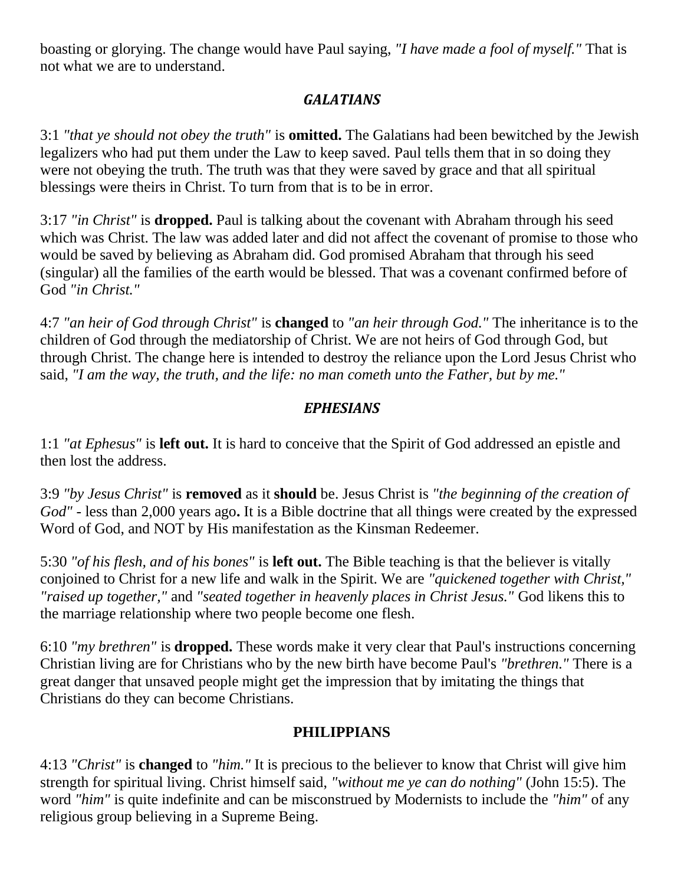boasting or glorying. The change would have Paul saying, *"I have made a fool of myself."* That is not what we are to understand.

## *GALATIANS*

3:1 *"that ye should not obey the truth"* is **omitted.** The Galatians had been bewitched by the Jewish legalizers who had put them under the Law to keep saved. Paul tells them that in so doing they were not obeying the truth. The truth was that they were saved by grace and that all spiritual blessings were theirs in Christ. To turn from that is to be in error.

3:17 *"in Christ"* is **dropped.** Paul is talking about the covenant with Abraham through his seed which was Christ. The law was added later and did not affect the covenant of promise to those who would be saved by believing as Abraham did. God promised Abraham that through his seed (singular) all the families of the earth would be blessed. That was a covenant confirmed before of God *"in Christ."*

4:7 *"an heir of God through Christ"* is **changed** to *"an heir through God."* The inheritance is to the children of God through the mediatorship of Christ. We are not heirs of God through God, but through Christ. The change here is intended to destroy the reliance upon the Lord Jesus Christ who said, *"I am the way, the truth, and the life: no man cometh unto the Father, but by me."*

#### *EPHESIANS*

1:1 *"at Ephesus"* is **left out.** It is hard to conceive that the Spirit of God addressed an epistle and then lost the address.

3:9 *"by Jesus Christ"* is **removed** as it **should** be. Jesus Christ is *"the beginning of the creation of God"* - less than 2,000 years ago**.** It is a Bible doctrine that all things were created by the expressed Word of God, and NOT by His manifestation as the Kinsman Redeemer.

5:30 *"of his flesh, and of his bones"* is **left out.** The Bible teaching is that the believer is vitally conjoined to Christ for a new life and walk in the Spirit. We are *"quickened together with Christ," "raised up together,"* and *"seated together in heavenly places in Christ Jesus."* God likens this to the marriage relationship where two people become one flesh.

6:10 *"my brethren"* is **dropped.** These words make it very clear that Paul's instructions concerning Christian living are for Christians who by the new birth have become Paul's *"brethren."* There is a great danger that unsaved people might get the impression that by imitating the things that Christians do they can become Christians.

#### **PHILIPPIANS**

4:13 *"Christ"* is **changed** to *"him."* It is precious to the believer to know that Christ will give him strength for spiritual living. Christ himself said, *"without me ye can do nothing"* (John 15:5). The word *"him"* is quite indefinite and can be misconstrued by Modernists to include the *"him"* of any religious group believing in a Supreme Being.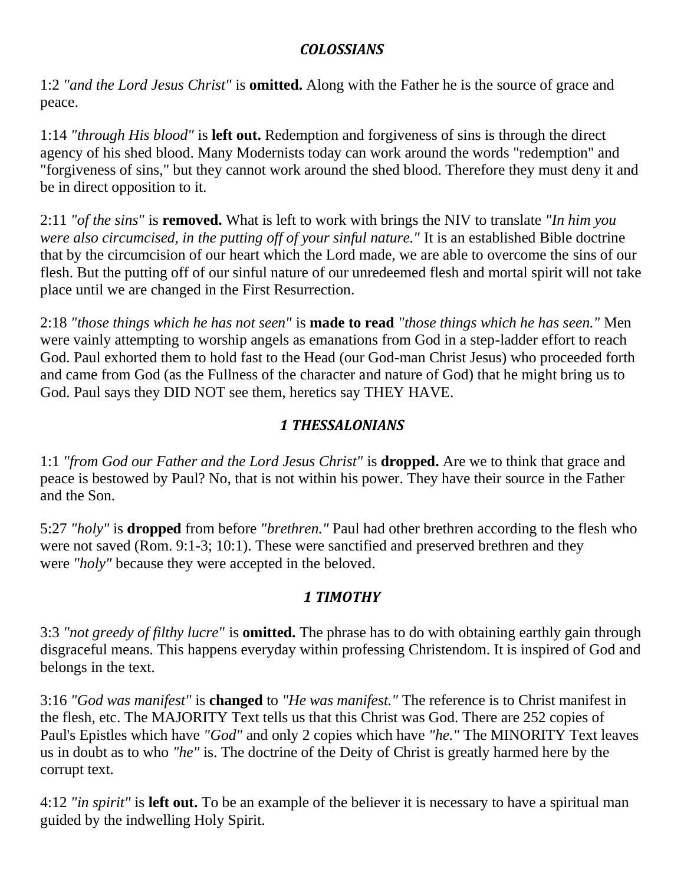#### *COLOSSIANS*

1:2 *"and the Lord Jesus Christ"* is **omitted.** Along with the Father he is the source of grace and peace.

1:14 *"through His blood"* is **left out.** Redemption and forgiveness of sins is through the direct agency of his shed blood. Many Modernists today can work around the words "redemption" and "forgiveness of sins," but they cannot work around the shed blood. Therefore they must deny it and be in direct opposition to it.

2:11 *"of the sins"* is **removed.** What is left to work with brings the NIV to translate *"In him you were also circumcised, in the putting off of your sinful nature."* It is an established Bible doctrine that by the circumcision of our heart which the Lord made, we are able to overcome the sins of our flesh. But the putting off of our sinful nature of our unredeemed flesh and mortal spirit will not take place until we are changed in the First Resurrection.

2:18 *"those things which he has not seen"* is **made to read** *"those things which he has seen."* Men were vainly attempting to worship angels as emanations from God in a step-ladder effort to reach God. Paul exhorted them to hold fast to the Head (our God-man Christ Jesus) who proceeded forth and came from God (as the Fullness of the character and nature of God) that he might bring us to God. Paul says they DID NOT see them, heretics say THEY HAVE.

## *1 THESSALONIANS*

1:1 *"from God our Father and the Lord Jesus Christ"* is **dropped.** Are we to think that grace and peace is bestowed by Paul? No, that is not within his power. They have their source in the Father and the Son.

5:27 *"holy"* is **dropped** from before *"brethren."* Paul had other brethren according to the flesh who were not saved (Rom. 9:1-3; 10:1). These were sanctified and preserved brethren and they were *"holy"* because they were accepted in the beloved.

## *1 TIMOTHY*

3:3 *"not greedy of filthy lucre"* is **omitted.** The phrase has to do with obtaining earthly gain through disgraceful means. This happens everyday within professing Christendom. It is inspired of God and belongs in the text.

3:16 *"God was manifest"* is **changed** to *"He was manifest."* The reference is to Christ manifest in the flesh, etc. The MAJORITY Text tells us that this Christ was God. There are 252 copies of Paul's Epistles which have *"God"* and only 2 copies which have *"he."* The MINORITY Text leaves us in doubt as to who *"he"* is. The doctrine of the Deity of Christ is greatly harmed here by the corrupt text.

4:12 *"in spirit"* is **left out.** To be an example of the believer it is necessary to have a spiritual man guided by the indwelling Holy Spirit.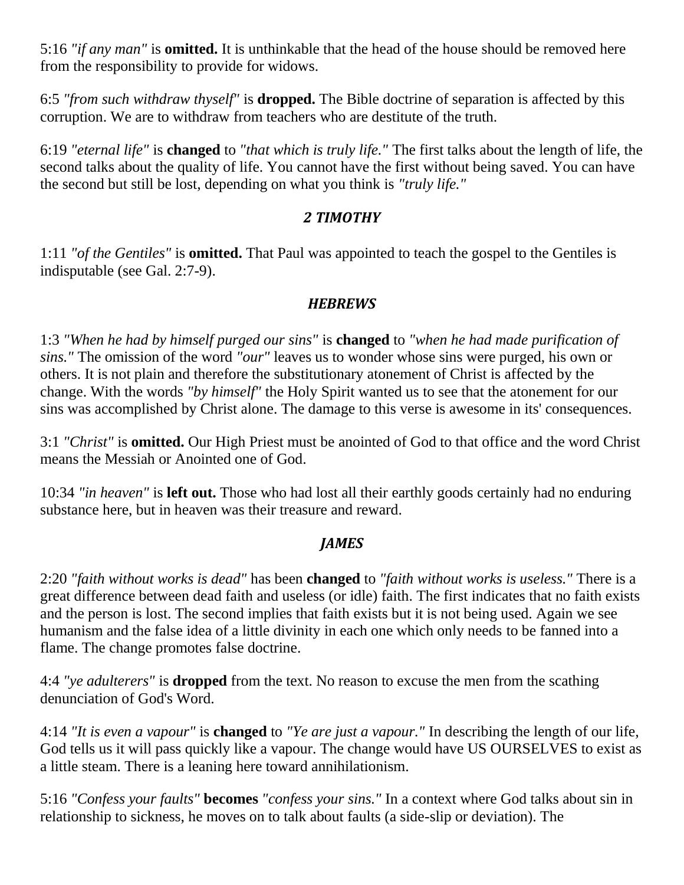5:16 *"if any man"* is **omitted.** It is unthinkable that the head of the house should be removed here from the responsibility to provide for widows.

6:5 *"from such withdraw thyself"* is **dropped.** The Bible doctrine of separation is affected by this corruption. We are to withdraw from teachers who are destitute of the truth.

6:19 *"eternal life"* is **changed** to *"that which is truly life."* The first talks about the length of life, the second talks about the quality of life. You cannot have the first without being saved. You can have the second but still be lost, depending on what you think is *"truly life."*

#### *2 TIMOTHY*

1:11 *"of the Gentiles"* is **omitted.** That Paul was appointed to teach the gospel to the Gentiles is indisputable (see Gal. 2:7-9).

#### *HEBREWS*

1:3 *"When he had by himself purged our sins"* is **changed** to *"when he had made purification of sins."* The omission of the word *"our"* leaves us to wonder whose sins were purged, his own or others. It is not plain and therefore the substitutionary atonement of Christ is affected by the change. With the words *"by himself"* the Holy Spirit wanted us to see that the atonement for our sins was accomplished by Christ alone. The damage to this verse is awesome in its' consequences.

3:1 *"Christ"* is **omitted.** Our High Priest must be anointed of God to that office and the word Christ means the Messiah or Anointed one of God.

10:34 *"in heaven"* is **left out.** Those who had lost all their earthly goods certainly had no enduring substance here, but in heaven was their treasure and reward.

### *JAMES*

2:20 *"faith without works is dead"* has been **changed** to *"faith without works is useless."* There is a great difference between dead faith and useless (or idle) faith. The first indicates that no faith exists and the person is lost. The second implies that faith exists but it is not being used. Again we see humanism and the false idea of a little divinity in each one which only needs to be fanned into a flame. The change promotes false doctrine.

4:4 *"ye adulterers"* is **dropped** from the text. No reason to excuse the men from the scathing denunciation of God's Word.

4:14 *"It is even a vapour"* is **changed** to *"Ye are just a vapour."* In describing the length of our life, God tells us it will pass quickly like a vapour. The change would have US OURSELVES to exist as a little steam. There is a leaning here toward annihilationism.

5:16 *"Confess your faults"* **becomes** *"confess your sins."* In a context where God talks about sin in relationship to sickness, he moves on to talk about faults (a side-slip or deviation). The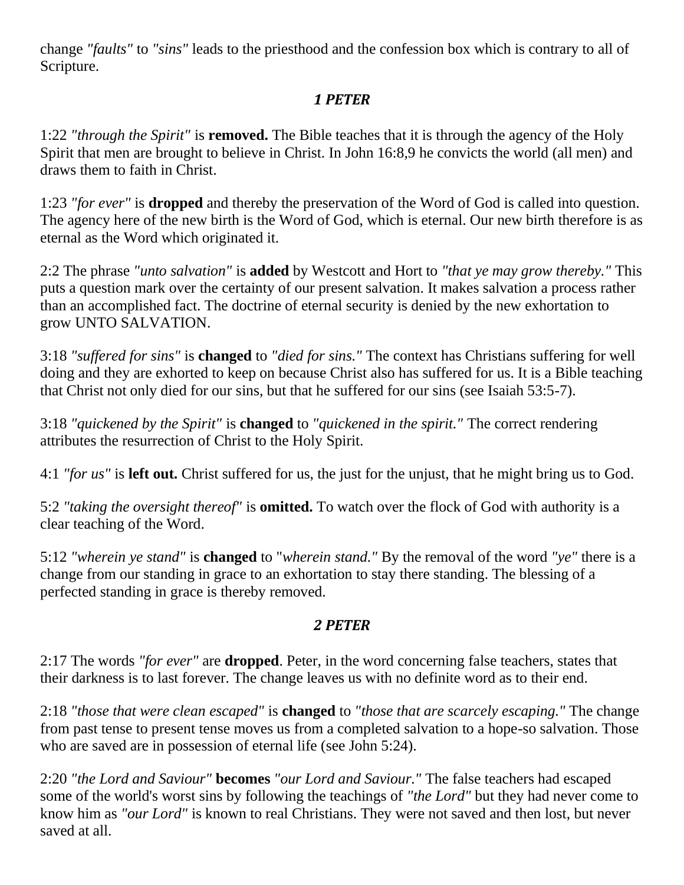change *"faults"* to *"sins"* leads to the priesthood and the confession box which is contrary to all of Scripture.

## *1 PETER*

1:22 *"through the Spirit"* is **removed.** The Bible teaches that it is through the agency of the Holy Spirit that men are brought to believe in Christ. In John 16:8,9 he convicts the world (all men) and draws them to faith in Christ.

1:23 *"for ever"* is **dropped** and thereby the preservation of the Word of God is called into question. The agency here of the new birth is the Word of God, which is eternal. Our new birth therefore is as eternal as the Word which originated it.

2:2 The phrase *"unto salvation"* is **added** by Westcott and Hort to *"that ye may grow thereby."* This puts a question mark over the certainty of our present salvation. It makes salvation a process rather than an accomplished fact. The doctrine of eternal security is denied by the new exhortation to grow UNTO SALVATION.

3:18 *"suffered for sins"* is **changed** to *"died for sins."* The context has Christians suffering for well doing and they are exhorted to keep on because Christ also has suffered for us. It is a Bible teaching that Christ not only died for our sins, but that he suffered for our sins (see Isaiah 53:5-7).

3:18 *"quickened by the Spirit"* is **changed** to *"quickened in the spirit."* The correct rendering attributes the resurrection of Christ to the Holy Spirit.

4:1 *"for us"* is **left out.** Christ suffered for us, the just for the unjust, that he might bring us to God.

5:2 *"taking the oversight thereof"* is **omitted.** To watch over the flock of God with authority is a clear teaching of the Word.

5:12 *"wherein ye stand"* is **changed** to "*wherein stand."* By the removal of the word *"ye"* there is a change from our standing in grace to an exhortation to stay there standing. The blessing of a perfected standing in grace is thereby removed.

### *2 PETER*

2:17 The words *"for ever"* are **dropped**. Peter, in the word concerning false teachers, states that their darkness is to last forever. The change leaves us with no definite word as to their end.

2:18 *"those that were clean escaped"* is **changed** to *"those that are scarcely escaping."* The change from past tense to present tense moves us from a completed salvation to a hope-so salvation. Those who are saved are in possession of eternal life (see John 5:24).

2:20 *"the Lord and Saviour"* **becomes** *"our Lord and Saviour."* The false teachers had escaped some of the world's worst sins by following the teachings of *"the Lord"* but they had never come to know him as *"our Lord"* is known to real Christians. They were not saved and then lost, but never saved at all.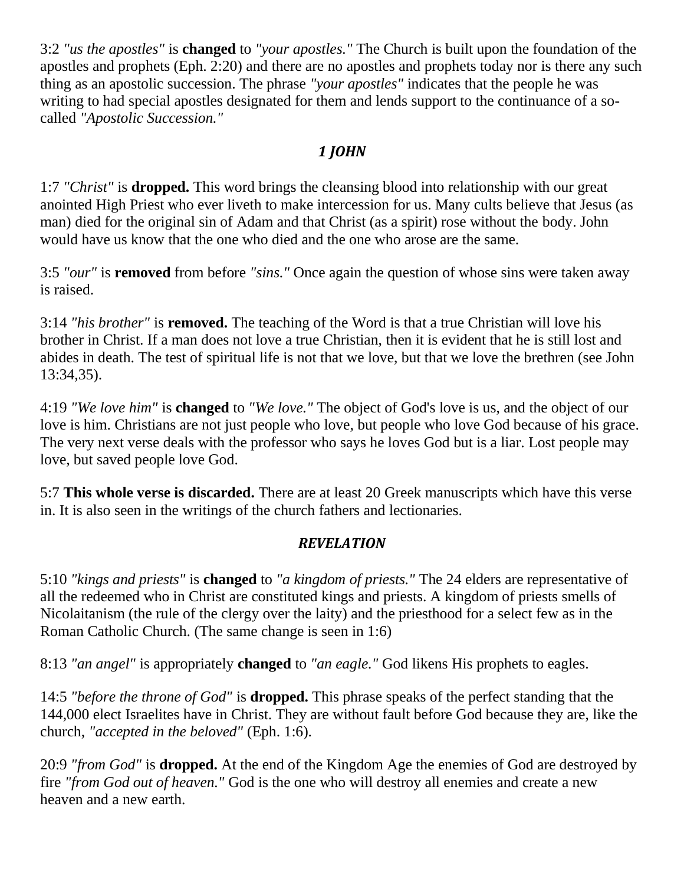3:2 *"us the apostles"* is **changed** to *"your apostles."* The Church is built upon the foundation of the apostles and prophets (Eph. 2:20) and there are no apostles and prophets today nor is there any such thing as an apostolic succession. The phrase *"your apostles"* indicates that the people he was writing to had special apostles designated for them and lends support to the continuance of a socalled *"Apostolic Succession."*

## *1 JOHN*

1:7 *"Christ"* is **dropped.** This word brings the cleansing blood into relationship with our great anointed High Priest who ever liveth to make intercession for us. Many cults believe that Jesus (as man) died for the original sin of Adam and that Christ (as a spirit) rose without the body. John would have us know that the one who died and the one who arose are the same.

3:5 *"our"* is **removed** from before *"sins."* Once again the question of whose sins were taken away is raised.

3:14 *"his brother"* is **removed.** The teaching of the Word is that a true Christian will love his brother in Christ. If a man does not love a true Christian, then it is evident that he is still lost and abides in death. The test of spiritual life is not that we love, but that we love the brethren (see John 13:34,35).

4:19 *"We love him"* is **changed** to *"We love."* The object of God's love is us, and the object of our love is him. Christians are not just people who love, but people who love God because of his grace. The very next verse deals with the professor who says he loves God but is a liar. Lost people may love, but saved people love God.

5:7 **This whole verse is discarded.** There are at least 20 Greek manuscripts which have this verse in. It is also seen in the writings of the church fathers and lectionaries.

### *REVELATION*

5:10 *"kings and priests"* is **changed** to *"a kingdom of priests."* The 24 elders are representative of all the redeemed who in Christ are constituted kings and priests. A kingdom of priests smells of Nicolaitanism (the rule of the clergy over the laity) and the priesthood for a select few as in the Roman Catholic Church. (The same change is seen in 1:6)

8:13 *"an angel"* is appropriately **changed** to *"an eagle."* God likens His prophets to eagles.

14:5 *"before the throne of God"* is **dropped.** This phrase speaks of the perfect standing that the 144,000 elect Israelites have in Christ. They are without fault before God because they are, like the church, *"accepted in the beloved"* (Eph. 1:6).

20:9 *"from God"* is **dropped.** At the end of the Kingdom Age the enemies of God are destroyed by fire *"from God out of heaven."* God is the one who will destroy all enemies and create a new heaven and a new earth.